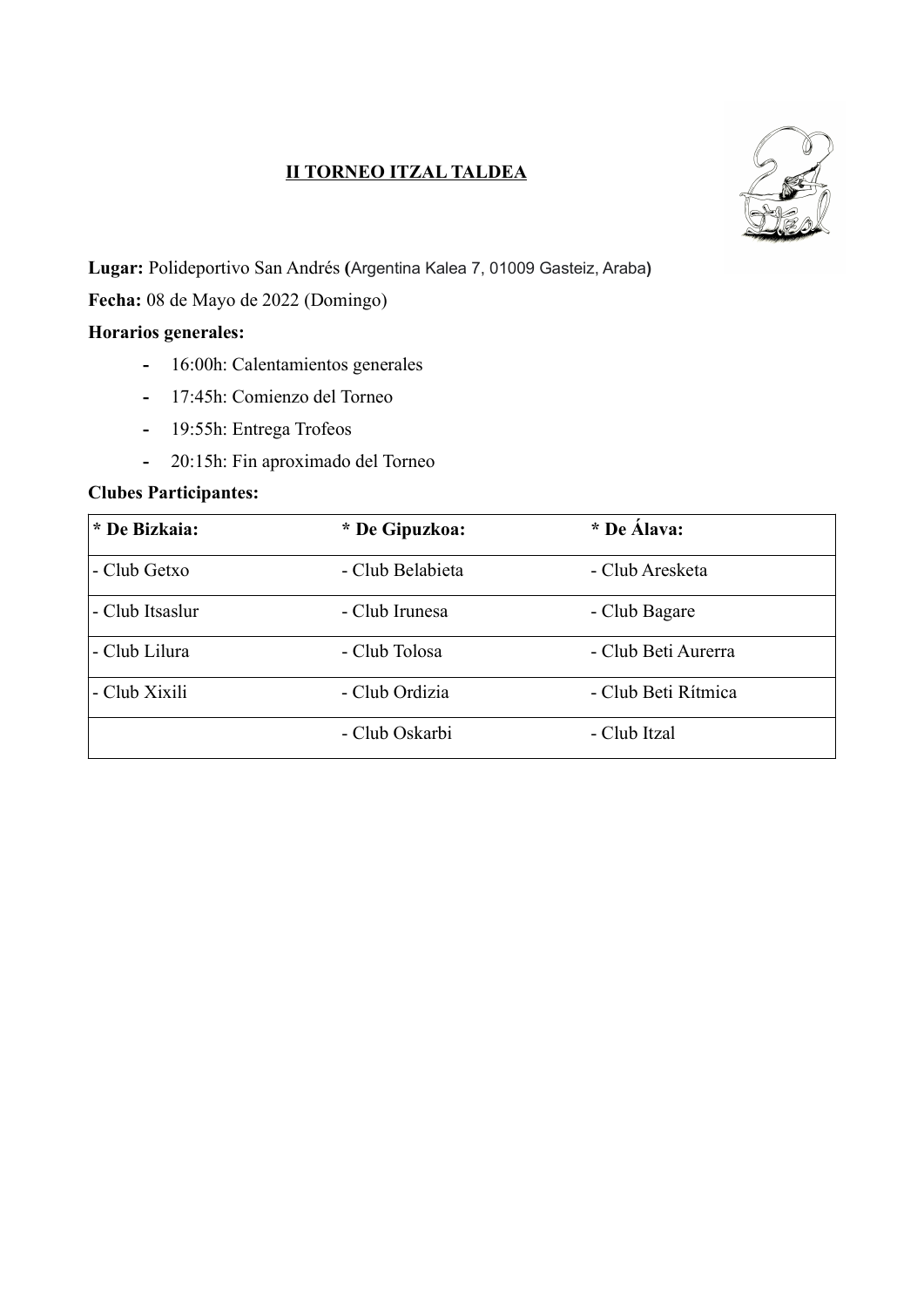## II TORNEO ITZAL TALDEA



Lugar: Polideportivo San Andrés (Argentina Kalea 7, 01009 Gasteiz, Araba)

Fecha: 08 de Mayo de 2022 (Domingo)

## Horarios generales:

- 16:00h: Calentamientos generales
- 17:45h: Comienzo del Torneo
- 19:55h: Entrega Trofeos
- 20:15h: Fin aproximado del Torneo

## Clubes Participantes:

| * De Bizkaia:   | * De Gipuzkoa:   | * De Álava:         |
|-----------------|------------------|---------------------|
| - Club Getxo    | - Club Belabieta | - Club Aresketa     |
| - Club Itsaslur | - Club Irunesa   | - Club Bagare       |
| - Club Lilura   | - Club Tolosa    | - Club Beti Aurerra |
| - Club Xixili   | - Club Ordizia   | - Club Beti Rítmica |
|                 | - Club Oskarbi   | - Club Itzal        |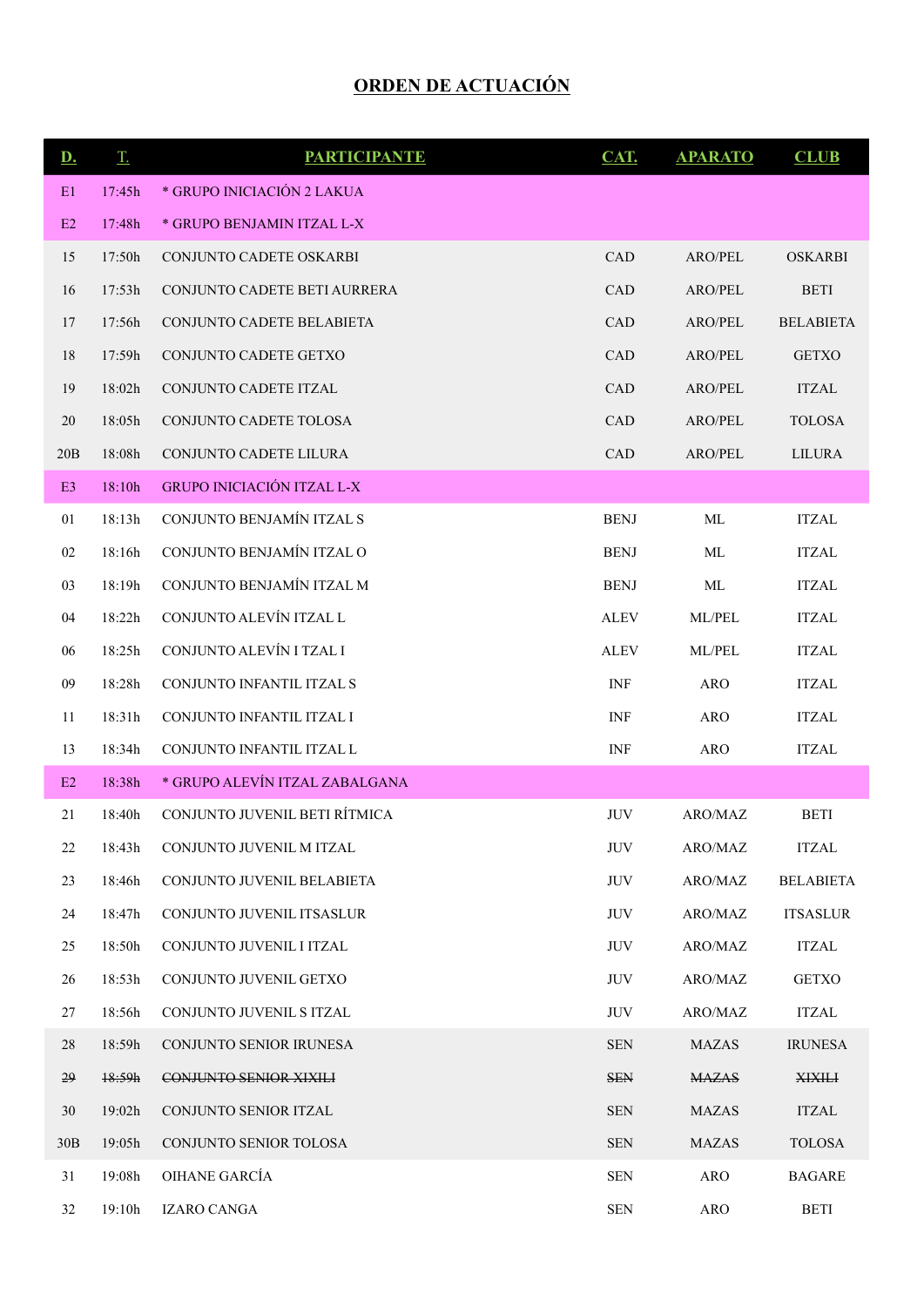## ORDEN DE ACTUACIÓN

| <u>D.</u>      | <u>T.</u> | <b>PARTICIPANTE</b>               | CAT.           | <b>APARATO</b> | CLUB             |
|----------------|-----------|-----------------------------------|----------------|----------------|------------------|
| E1             | 17:45h    | * GRUPO INICIACIÓN 2 LAKUA        |                |                |                  |
| E2             | 17:48h    | * GRUPO BENJAMIN ITZAL L-X        |                |                |                  |
| 15             | 17:50h    | CONJUNTO CADETE OSKARBI           | CAD            | ARO/PEL        | <b>OSKARBI</b>   |
| 16             | 17:53h    | CONJUNTO CADETE BETI AURRERA      | CAD            | ARO/PEL        | <b>BETI</b>      |
| 17             | 17:56h    | CONJUNTO CADETE BELABIETA         | CAD            | <b>ARO/PEL</b> | <b>BELABIETA</b> |
| 18             | 17:59h    | CONJUNTO CADETE GETXO             | CAD            | <b>ARO/PEL</b> | <b>GETXO</b>     |
| 19             | 18:02h    | CONJUNTO CADETE ITZAL             | CAD            | ARO/PEL        | <b>ITZAL</b>     |
| 20             | 18:05h    | CONJUNTO CADETE TOLOSA            | CAD            | <b>ARO/PEL</b> | <b>TOLOSA</b>    |
| 20B            | 18:08h    | CONJUNTO CADETE LILURA            | CAD            | ARO/PEL        | LILURA           |
| E <sub>3</sub> | 18:10h    | <b>GRUPO INICIACIÓN ITZAL L-X</b> |                |                |                  |
| 01             | 18:13h    | CONJUNTO BENJAMÍN ITZAL S         | <b>BENJ</b>    | ML             | <b>ITZAL</b>     |
| $02\,$         | 18:16h    | CONJUNTO BENJAMÍN ITZAL O         | <b>BENJ</b>    | ML             | <b>ITZAL</b>     |
| 03             | 18:19h    | CONJUNTO BENJAMÍN ITZAL M         | <b>BENJ</b>    | ML             | <b>ITZAL</b>     |
| 04             | 18:22h    | CONJUNTO ALEVÍN ITZAL L           | <b>ALEV</b>    | ML/PEL         | <b>ITZAL</b>     |
| 06             | 18:25h    | CONJUNTO ALEVÍN I TZAL I          | <b>ALEV</b>    | ML/PEL         | <b>ITZAL</b>     |
| 09             | 18:28h    | CONJUNTO INFANTIL ITZAL S         | INF            | <b>ARO</b>     | <b>ITZAL</b>     |
| 11             | 18:31h    | CONJUNTO INFANTIL ITZAL I         | INF            | <b>ARO</b>     | <b>ITZAL</b>     |
| 13             | 18:34h    | CONJUNTO INFANTIL ITZAL L         | INF            | <b>ARO</b>     | <b>ITZAL</b>     |
| E2             | 18:38h    | * GRUPO ALEVÍN ITZAL ZABALGANA    |                |                |                  |
| 21             | 18:40h    | CONJUNTO JUVENIL BETI RÍTMICA     | <b>JUV</b>     | ARO/MAZ        | <b>BETI</b>      |
| 22             | 18:43h    | CONJUNTO JUVENIL M ITZAL          | <b>JUV</b>     | ARO/MAZ        | <b>ITZAL</b>     |
| 23             | 18:46h    | CONJUNTO JUVENIL BELABIETA        | <b>JUV</b>     | ARO/MAZ        | <b>BELABIETA</b> |
| 24             | 18:47h    | CONJUNTO JUVENIL ITSASLUR         | <b>JUV</b>     | ARO/MAZ        | <b>ITSASLUR</b>  |
| 25             | 18:50h    | CONJUNTO JUVENIL I ITZAL          | <b>JUV</b>     | ARO/MAZ        | <b>ITZAL</b>     |
| 26             | 18:53h    | CONJUNTO JUVENIL GETXO            | <b>JUV</b>     | ARO/MAZ        | <b>GETXO</b>     |
| 27             | 18:56h    | CONJUNTO JUVENIL S ITZAL          | <b>JUV</b>     | ARO/MAZ        | ITZAL            |
| 28             | 18:59h    | CONJUNTO SENIOR IRUNESA           | <b>SEN</b>     | <b>MAZAS</b>   | <b>IRUNESA</b>   |
| 29             | 18:59h    | CONJUNTO SENIOR XIXILI            | <b>SEN</b>     | <b>MAZAS</b>   | <b>XIXILI</b>    |
| 30             | 19:02h    | CONJUNTO SENIOR ITZAL             | <b>SEN</b>     | <b>MAZAS</b>   | <b>ITZAL</b>     |
| 30B            | 19:05h    | CONJUNTO SENIOR TOLOSA            | <b>SEN</b>     | <b>MAZAS</b>   | <b>TOLOSA</b>    |
| 31             | 19:08h    | OIHANE GARCÍA                     | ${\hbox{SEN}}$ | <b>ARO</b>     | <b>BAGARE</b>    |
| 32             | 19:10h    | <b>IZARO CANGA</b>                | ${\hbox{SEN}}$ | ARO            | <b>BETI</b>      |